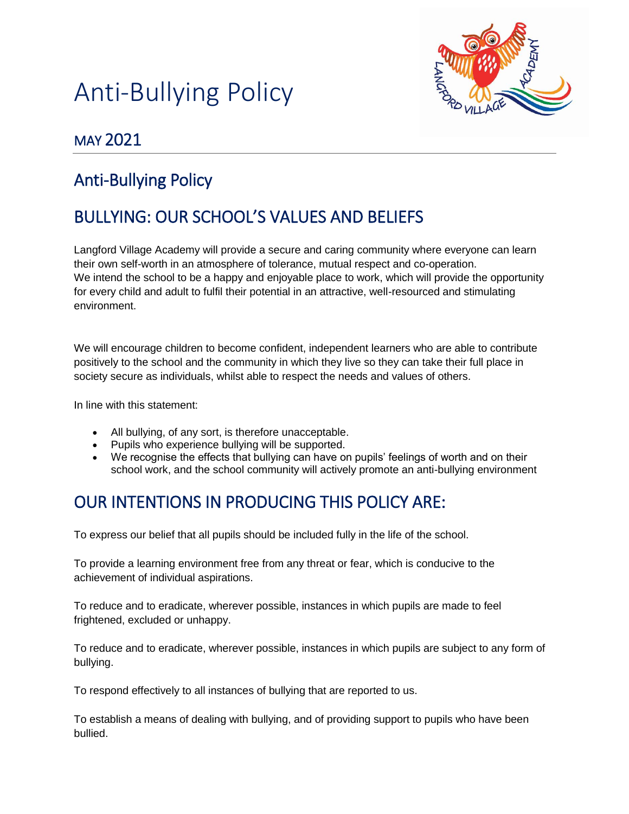



### MAY 2021

# Anti-Bullying Policy

# BULLYING: OUR SCHOOL'S VALUES AND BELIEFS

Langford Village Academy will provide a secure and caring community where everyone can learn their own self-worth in an atmosphere of tolerance, mutual respect and co-operation. We intend the school to be a happy and enjoyable place to work, which will provide the opportunity for every child and adult to fulfil their potential in an attractive, well-resourced and stimulating environment.

We will encourage children to become confident, independent learners who are able to contribute positively to the school and the community in which they live so they can take their full place in society secure as individuals, whilst able to respect the needs and values of others.

In line with this statement:

- All bullying, of any sort, is therefore unacceptable.
- Pupils who experience bullying will be supported.
- We recognise the effects that bullying can have on pupils' feelings of worth and on their school work, and the school community will actively promote an anti-bullying environment

## OUR INTENTIONS IN PRODUCING THIS POLICY ARE:

To express our belief that all pupils should be included fully in the life of the school.

To provide a learning environment free from any threat or fear, which is conducive to the achievement of individual aspirations.

To reduce and to eradicate, wherever possible, instances in which pupils are made to feel frightened, excluded or unhappy.

To reduce and to eradicate, wherever possible, instances in which pupils are subject to any form of bullying.

To respond effectively to all instances of bullying that are reported to us.

To establish a means of dealing with bullying, and of providing support to pupils who have been bullied.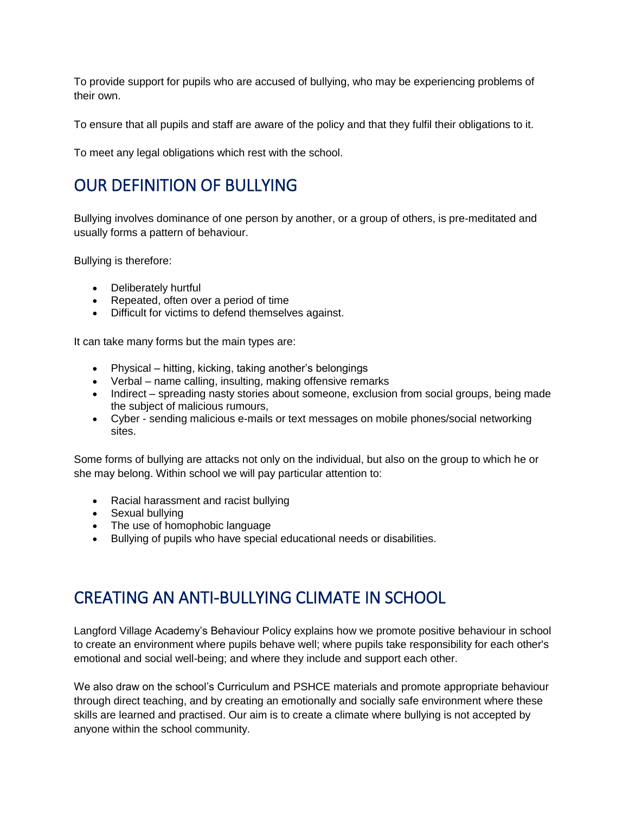To provide support for pupils who are accused of bullying, who may be experiencing problems of their own.

To ensure that all pupils and staff are aware of the policy and that they fulfil their obligations to it.

To meet any legal obligations which rest with the school.

# OUR DEFINITION OF BULLYING

Bullying involves dominance of one person by another, or a group of others, is pre-meditated and usually forms a pattern of behaviour.

Bullying is therefore:

- Deliberately hurtful
- Repeated, often over a period of time
- Difficult for victims to defend themselves against.

It can take many forms but the main types are:

- Physical hitting, kicking, taking another's belongings
- Verbal name calling, insulting, making offensive remarks
- Indirect spreading nasty stories about someone, exclusion from social groups, being made the subject of malicious rumours,
- Cyber sending malicious e-mails or text messages on mobile phones/social networking sites.

Some forms of bullying are attacks not only on the individual, but also on the group to which he or she may belong. Within school we will pay particular attention to:

- Racial harassment and racist bullying
- Sexual bullying
- The use of homophobic language
- Bullying of pupils who have special educational needs or disabilities.

#### CREATING AN ANTI-BULLYING CLIMATE IN SCHOOL

Langford Village Academy's Behaviour Policy explains how we promote positive behaviour in school to create an environment where pupils behave well; where pupils take responsibility for each other's emotional and social well-being; and where they include and support each other.

We also draw on the school's Curriculum and PSHCE materials and promote appropriate behaviour through direct teaching, and by creating an emotionally and socially safe environment where these skills are learned and practised. Our aim is to create a climate where bullying is not accepted by anyone within the school community.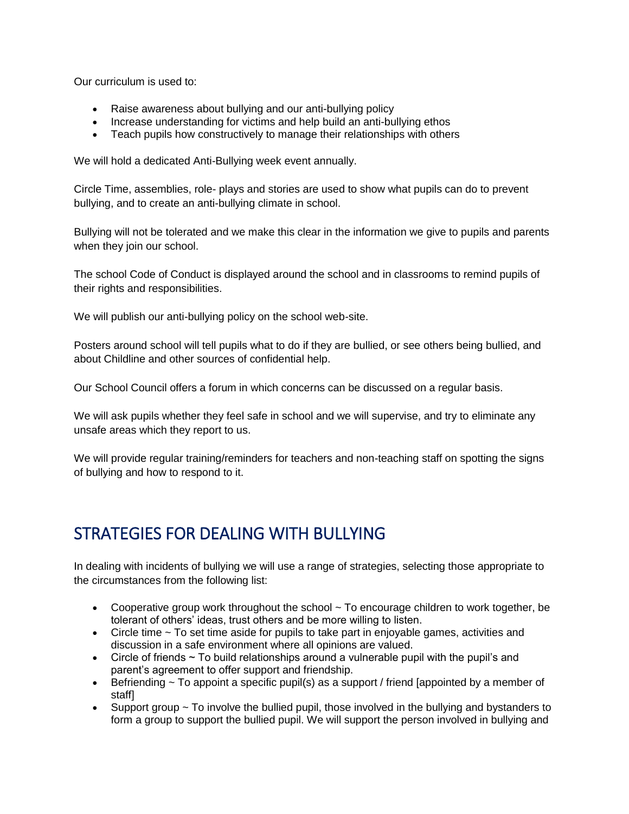Our curriculum is used to:

- Raise awareness about bullying and our anti-bullying policy
- Increase understanding for victims and help build an anti-bullying ethos
- Teach pupils how constructively to manage their relationships with others

We will hold a dedicated Anti-Bullying week event annually.

Circle Time, assemblies, role- plays and stories are used to show what pupils can do to prevent bullying, and to create an anti-bullying climate in school.

Bullying will not be tolerated and we make this clear in the information we give to pupils and parents when they join our school.

The school Code of Conduct is displayed around the school and in classrooms to remind pupils of their rights and responsibilities.

We will publish our anti-bullying policy on the school web-site.

Posters around school will tell pupils what to do if they are bullied, or see others being bullied, and about Childline and other sources of confidential help.

Our School Council offers a forum in which concerns can be discussed on a regular basis.

We will ask pupils whether they feel safe in school and we will supervise, and try to eliminate any unsafe areas which they report to us.

We will provide regular training/reminders for teachers and non-teaching staff on spotting the signs of bullying and how to respond to it.

## STRATEGIES FOR DEALING WITH BULLYING

In dealing with incidents of bullying we will use a range of strategies, selecting those appropriate to the circumstances from the following list:

- Cooperative group work throughout the school  $\sim$  To encourage children to work together, be tolerant of others' ideas, trust others and be more willing to listen.
- Circle time  $\sim$  To set time aside for pupils to take part in enjoyable games, activities and discussion in a safe environment where all opinions are valued.
- Circle of friends  $\sim$  To build relationships around a vulnerable pupil with the pupil's and parent's agreement to offer support and friendship.
- Befriending  $\sim$  To appoint a specific pupil(s) as a support / friend [appointed by a member of staff]
- Support group  $\sim$  To involve the bullied pupil, those involved in the bullying and bystanders to form a group to support the bullied pupil. We will support the person involved in bullying and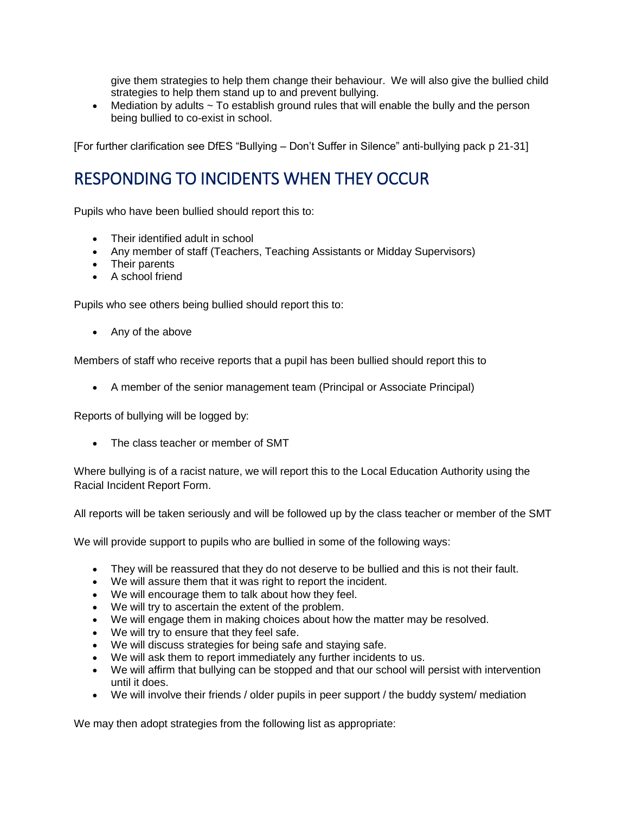give them strategies to help them change their behaviour. We will also give the bullied child strategies to help them stand up to and prevent bullying.

• Mediation by adults  $\sim$  To establish ground rules that will enable the bully and the person being bullied to co-exist in school.

[For further clarification see DfES "Bullying – Don't Suffer in Silence" anti-bullying pack p 21-31]

# RESPONDING TO INCIDENTS WHEN THEY OCCUR

Pupils who have been bullied should report this to:

- Their identified adult in school
- Any member of staff (Teachers, Teaching Assistants or Midday Supervisors)
- Their parents
- A school friend

Pupils who see others being bullied should report this to:

• Any of the above

Members of staff who receive reports that a pupil has been bullied should report this to

• A member of the senior management team (Principal or Associate Principal)

Reports of bullying will be logged by:

• The class teacher or member of SMT

Where bullying is of a racist nature, we will report this to the Local Education Authority using the Racial Incident Report Form.

All reports will be taken seriously and will be followed up by the class teacher or member of the SMT

We will provide support to pupils who are bullied in some of the following ways:

- They will be reassured that they do not deserve to be bullied and this is not their fault.
- We will assure them that it was right to report the incident.
- We will encourage them to talk about how they feel.
- We will try to ascertain the extent of the problem.
- We will engage them in making choices about how the matter may be resolved.
- We will try to ensure that they feel safe.
- We will discuss strategies for being safe and staying safe.
- We will ask them to report immediately any further incidents to us.
- We will affirm that bullying can be stopped and that our school will persist with intervention until it does.
- We will involve their friends / older pupils in peer support / the buddy system/ mediation

We may then adopt strategies from the following list as appropriate: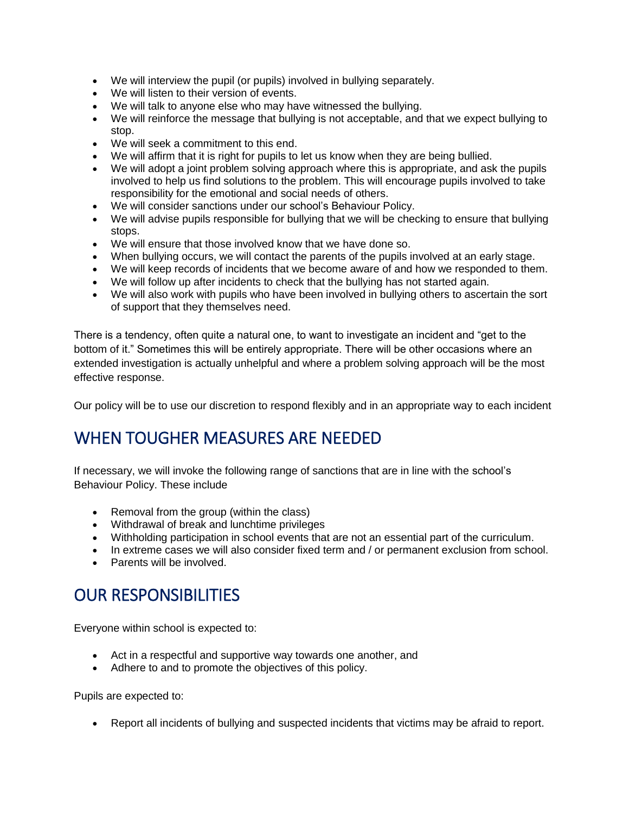- We will interview the pupil (or pupils) involved in bullying separately.
- We will listen to their version of events.
- We will talk to anyone else who may have witnessed the bullying.
- We will reinforce the message that bullying is not acceptable, and that we expect bullying to stop.
- We will seek a commitment to this end.
- We will affirm that it is right for pupils to let us know when they are being bullied.
- We will adopt a joint problem solving approach where this is appropriate, and ask the pupils involved to help us find solutions to the problem. This will encourage pupils involved to take responsibility for the emotional and social needs of others.
- We will consider sanctions under our school's Behaviour Policy.
- We will advise pupils responsible for bullying that we will be checking to ensure that bullying stops.
- We will ensure that those involved know that we have done so.
- When bullying occurs, we will contact the parents of the pupils involved at an early stage.
- We will keep records of incidents that we become aware of and how we responded to them.
- We will follow up after incidents to check that the bullying has not started again.
- We will also work with pupils who have been involved in bullying others to ascertain the sort of support that they themselves need.

There is a tendency, often quite a natural one, to want to investigate an incident and "get to the bottom of it." Sometimes this will be entirely appropriate. There will be other occasions where an extended investigation is actually unhelpful and where a problem solving approach will be the most effective response.

Our policy will be to use our discretion to respond flexibly and in an appropriate way to each incident

# WHEN TOUGHER MEASURES ARE NEEDED

If necessary, we will invoke the following range of sanctions that are in line with the school's Behaviour Policy. These include

- Removal from the group (within the class)
- Withdrawal of break and lunchtime privileges
- Withholding participation in school events that are not an essential part of the curriculum.
- In extreme cases we will also consider fixed term and / or permanent exclusion from school.
- Parents will be involved.

#### OUR RESPONSIBILITIES

Everyone within school is expected to:

- Act in a respectful and supportive way towards one another, and
- Adhere to and to promote the objectives of this policy.

Pupils are expected to:

• Report all incidents of bullying and suspected incidents that victims may be afraid to report.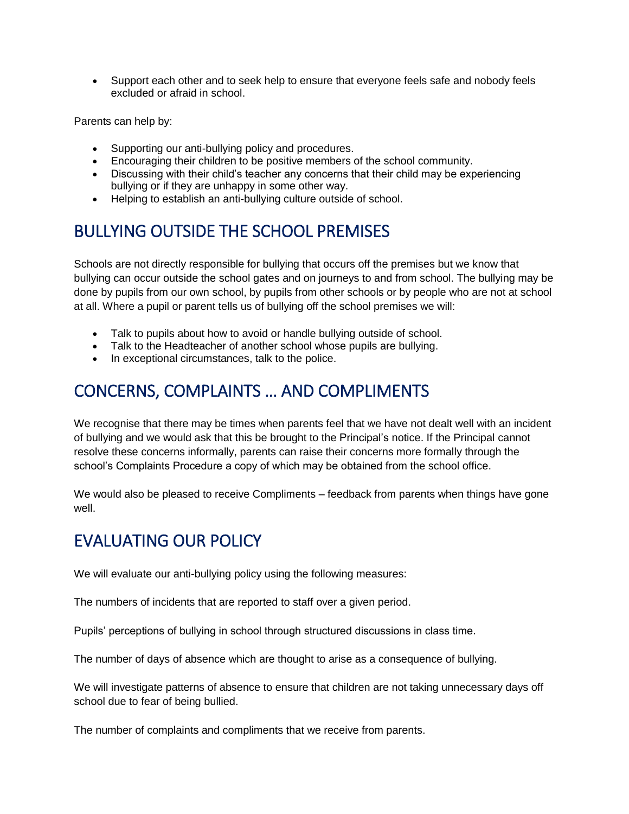• Support each other and to seek help to ensure that everyone feels safe and nobody feels excluded or afraid in school.

Parents can help by:

- Supporting our anti-bullying policy and procedures.
- Encouraging their children to be positive members of the school community.
- Discussing with their child's teacher any concerns that their child may be experiencing bullying or if they are unhappy in some other way.
- Helping to establish an anti-bullying culture outside of school.

# BULLYING OUTSIDE THE SCHOOL PREMISES

Schools are not directly responsible for bullying that occurs off the premises but we know that bullying can occur outside the school gates and on journeys to and from school. The bullying may be done by pupils from our own school, by pupils from other schools or by people who are not at school at all. Where a pupil or parent tells us of bullying off the school premises we will:

- Talk to pupils about how to avoid or handle bullying outside of school.
- Talk to the Headteacher of another school whose pupils are bullying.
- In exceptional circumstances, talk to the police.

## CONCERNS, COMPLAINTS … AND COMPLIMENTS

We recognise that there may be times when parents feel that we have not dealt well with an incident of bullying and we would ask that this be brought to the Principal's notice. If the Principal cannot resolve these concerns informally, parents can raise their concerns more formally through the school's Complaints Procedure a copy of which may be obtained from the school office.

We would also be pleased to receive Compliments – feedback from parents when things have gone well.

## EVALUATING OUR POLICY

We will evaluate our anti-bullying policy using the following measures:

The numbers of incidents that are reported to staff over a given period.

Pupils' perceptions of bullying in school through structured discussions in class time.

The number of days of absence which are thought to arise as a consequence of bullying.

We will investigate patterns of absence to ensure that children are not taking unnecessary days off school due to fear of being bullied.

The number of complaints and compliments that we receive from parents.